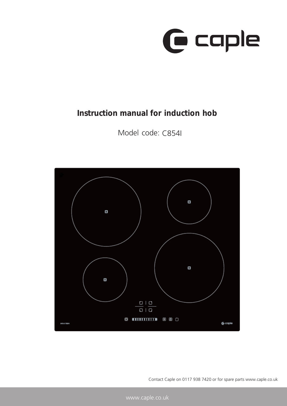

## **Instruction manual for induction hob**

Model code: C854I



Contact Caple on 0117 938 7420 or for spare parts www.caple.co.uk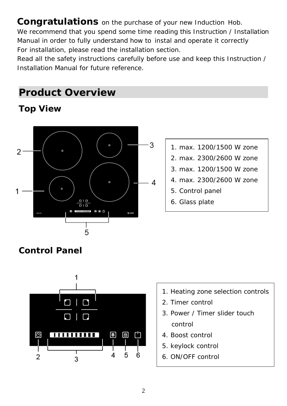Congratulations on the purchase of your new Induction Hob. We recommend that you spend some time reading this Instruction / Installation Manual in order to fully understand how to instal and operate it correctly

For installation, please read the installation section.

Read all the safety instructions carefully before use and keep this Instruction / Installation Manual for future reference.

## **Product Overview**

## **Top View**



- 1. max. 1200/1500 W zone
- 2. max. 2300/2600 W zone
- 3. max. 1200/1500 W zone
- 4. max. 2300/2600 W zone
- 5. Control panel
- 6. Glass plate

## **Control Panel**



- 1. Heating zone selection controls
- 2. Timer control
- 3. Power / Timer slider touch control
- 4. Boost control
- 5. keylock control
- 6. ON/OFF control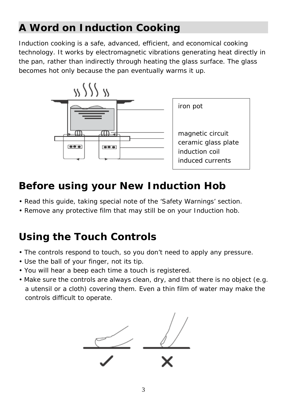# **A Word on Induction Cooking**

Induction cooking is a safe, advanced, efficient, and economical cooking technology. It works by electromagnetic vibrations generating heat directly in the pan, rather than indirectly through heating the glass surface. The glass becomes hot only because the pan eventually warms it up.



## **Before using your New Induction Hob**

- Read this guide, taking special note of the 'Safety Warnings' section.
- Remove any protective film that may still be on your Induction hob.

# **Using the Touch Controls**

- The controls respond to touch, so you don't need to apply any pressure.
- Use the ball of your finger, not its tip.
- You will hear a beep each time a touch is registered.
- Make sure the controls are always clean, dry, and that there is no object (e.g. a utensil or a cloth) covering them. Even a thin film of water may make the controls difficult to operate.

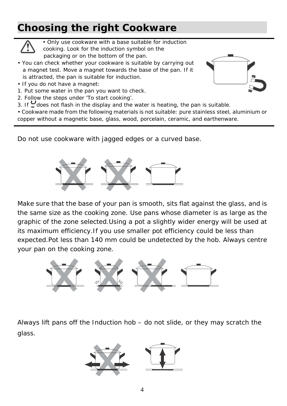# **Choosing the right Cookware**



• Only use cookware with a base suitable for induction cooking. Look for the induction symbol on the

packaging or on the bottom of the pan.

- You can check whether your cookware is suitable by carrying out a magnet test. Move a magnet towards the base of the pan. If it is attracted, the pan is suitable for induction.
- If you do not have a magnet:
- 1. Put some water in the pan you want to check.
- 2. Follow the steps under 'To start cooking'.
- 3. If  $\Box$  does not flash in the display and the water is heating, the pan is suitable.
- Cookware made from the following materials is not suitable: pure stainless steel, aluminium or copper without a magnetic base, glass, wood, porcelain, ceramic, and earthenware.

Do not use cookware with jagged edges or a curved base.



Make sure that the base of your pan is smooth, sits flat against the glass, and is the same size as the cooking zone. Use pans whose diameter is as large as the graphic of the zone selected.Using a pot a slightly wider energy will be used at its maximum efficiency.If you use smaller pot efficiency could be less than expected.Pot less than 140 mm could be undetected by the hob. Always centre your pan on the cooking zone.



Always lift pans off the Induction hob – do not slide, or they may scratch the glass.



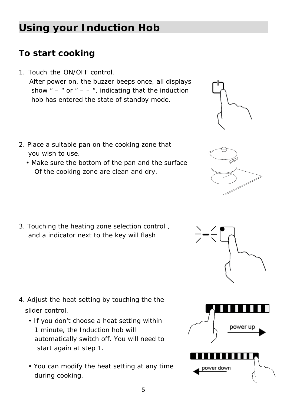5

# **Using your Induction Hob**

## **To start cooking**

- After power on, the buzzer beeps once, all displays show " – " or " – – ", indicating that the induction hob has entered the state of standby mode. 1. Touch the ON/OFF control.
- 2. Place a suitable pan on the cooking zone that you wish to use.
	- Make sure the bottom of the pan and the surface Of the cooking zone are clean and dry.

3. Touching the heating zone selection control , and a indicator next to the key will flash

- slider control. 4. Adjust the heat setting by touching the the
	- If you don't choose a heat setting within 1 minute, the Induction hob will automatically switch off. You will need to start again at step 1.
	- You can modify the heat setting at any time during cooking.







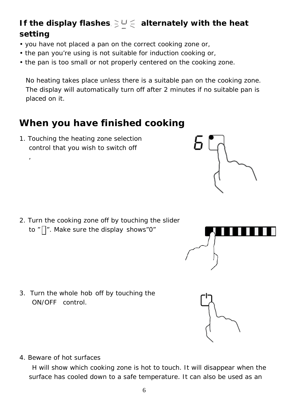## If the display flashes  $\geq U \leq$  alternately with the heat **setting**

- you have not placed a pan on the correct cooking zone or,
- the pan you're using is not suitable for induction cooking or,
- the pan is too small or not properly centered on the cooking zone.

No heating takes place unless there is a suitable pan on the cooking zone. The display will automatically turn off after 2 minutes if no suitable pan is placed on it.

## **When you have finished cooking**

1. Touching the heating zone selection control that you wish to switch off

,

2. Turn the cooking zone off by touching the slider to "||". Make sure the display shows"0"

ON/OFF control. 3. Turn the whole hob off by touching the

4. Beware of hot surfaces

H will show which cooking zone is hot to touch. It will disappear when the surface has cooled down to a safe temperature. It can also be used as an





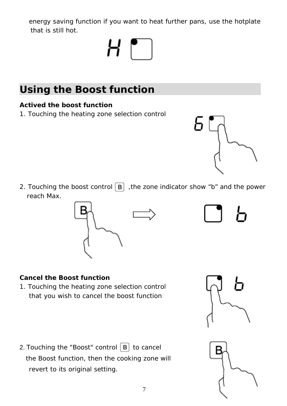energy saving function if you want to heat further pans, use the hotplate that is still hot.

# $H_{\parallel}$

# **Using the Boost function**

#### **Actived the boost function**

1. Touching the heating zone selection control

2. Touching the boost control  $\boxed{B}$ , the zone indicator show "b" and the power reach Max.



## **Cancel the Boost function**

1. Touching the heating zone selection control that you wish to cancel the boost function

2. Touching the "Boost" control  $\boxed{B}$  to cancel the Boost function, then the cooking zone will revert to its original setting.







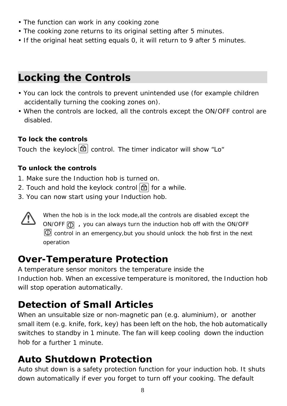- The function can work in any cooking zone
- The cooking zone returns to its original setting after 5 minutes.
- If the original heat setting equals 0, it will return to 9 after 5 minutes.

## **Locking the Controls**

- You can lock the controls to prevent unintended use (for example children accidentally turning the cooking zones on).
- When the controls are locked, all the controls except the ON/OFF control are disabled.

#### **To lock the controls**

Touch the keylock  $\boxed{\triangle}$  control. The timer indicator will show "Lo"

#### **To unlock the controls**

- 1. Make sure the Induction hob is turned on.
- 2. Touch and hold the keylock control  $\left[\bigoplus\right]$  for a while.
- 3. You can now start using your Induction hob.



When the hob is in the lock mode, all the controls are disabled except the ON/OFF  $\boxed{0}$ , you can always turn the induction hob off with the ON/OFF operation  $\Box$  control in an emergency, but you should unlock the hob first in the next

## **Over-Temperature Protection**

Induction hob. When an excessive temperature is monitored, the Induction hob will stop operation automatically. A temperature sensor monitors the temperature inside the

## **Detection of Small Articles**

small item (e.g. knife, fork, key) has been left on the hob, the hob automatically hob for a further 1 minute. When an unsuitable size or non-magnetic pan (e.g. aluminium), or another switches to standby in 1 minute. The fan will keep cooling down the induction

## **Auto Shutdown Protection**

Auto shut down is a safety protection function for your induction hob. It shuts down automatically if ever you forget to turn off your cooking. The default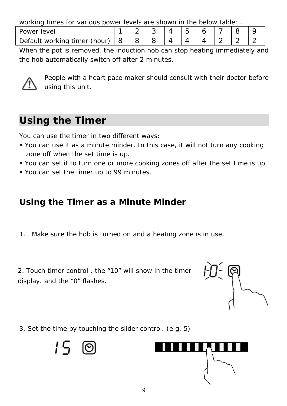working times for various power levels are shown in the below table:

| Power level                  |  |  |  |  |  |
|------------------------------|--|--|--|--|--|
| Default working timer (hour) |  |  |  |  |  |

When the pot is removed, the induction hob can stop heating immediately and the hob automatically switch off after 2 minutes.



People with a heart pace maker should consult with their doctor before using this unit.

# **Using the Timer**

You can use the timer in two different ways:

- You can use it as a minute minder. In this case, it will not turn any cooking zone off when the set time is up.
- You can set it to turn one or more cooking zones off after the set time is up.
- You can set the timer up to 99 minutes.

## **Using the Timer as a Minute Minder**

1. Make sure the hob is turned on and a heating zone is in use.

2. Touch timer control , the "10" will show in the timer display. and the "0" flashes.



3. Set the time by touching the slider control. (e.g. 5)



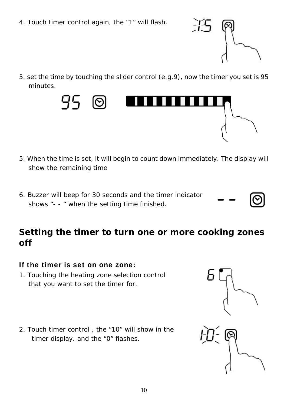4. Touch timer control again, the "1" will flash.



5. set the time by touching the slider control (e.g.9), now the timer you set is 95 minutes.



- 5. When the time is set, it will begin to count down immediately. The display will show the remaining time
- 6. Buzzer will beep for 30 seconds and the timer indicator shows "- - " when the setting time finished.

## **Setting the timer to turn one or more cooking zones off**

#### If the timer is set on one zone:

- 1. Touching the heating zone selection control that you want to set the timer for.
- 2. Touch timer control , the "10" will show in the timer display. and the "0" fiashes.

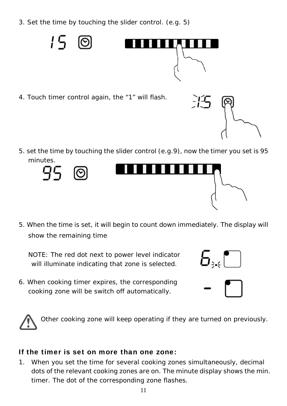3. Set the time by touching the slider control. (e.g. 5)



4. Touch timer control again, the "1" will flash.



5. set the time by touching the slider control (e.g.9), now the timer you set is 95 minutes.



5. When the time is set, it will begin to count down immediately. The display will show the remaining time

NOTE: The red dot next to power level indicator will illuminate indicating that zone is selected.

6. When cooking timer expires, the corresponding cooking zone will be switch off automatically.





Other cooking zone will keep operating if they are turned on previously.

#### If the timer is set on more than one zone:

1. When you set the time for several cooking zones simultaneously, decimal dots of the relevant cooking zones are on. The minute display shows the min. timer. The dot of the corresponding zone flashes.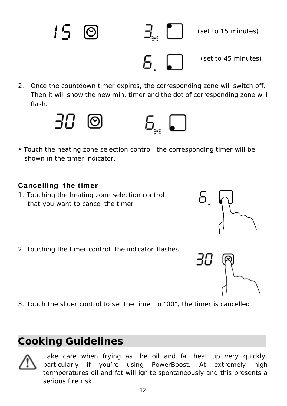2. Once the countdown timer expires, the corresponding zone will switch off. Then it will show the new min. timer and the dot of corresponding zone will flash.



• Touch the heating zone selection control, the corresponding timer will be shown in the timer indicator.

#### Cancelling the timer

- 1. Touching the heating zone selection control that you want to cancel the timer
- 2. Touching the timer control, the indicator flashes

3. Touch the slider control to set the timer to "00", the timer is cancelled

## **Cooking Guidelines**



Take care when frying as the oil and fat heat up very quickly, particularly if you're using PowerBoost. At extremely high termperatures oil and fat will ignite spontaneously and this presents a serious fire risk.



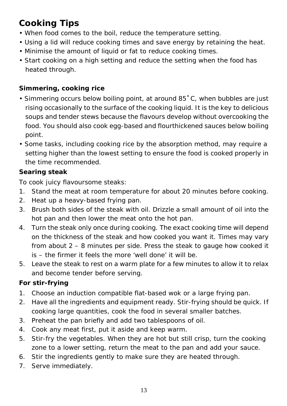## **Cooking Tips**

- When food comes to the boil, reduce the temperature setting.
- Using a lid will reduce cooking times and save energy by retaining the heat.
- Minimise the amount of liquid or fat to reduce cooking times.
- Start cooking on a high setting and reduce the setting when the food has heated through.

### **Simmering, cooking rice**

- Simmering occurs below boiling point, at around 85˚C, when bubbles are just rising occasionally to the surface of the cooking liquid. It is the key to delicious soups and tender stews because the flavours develop without overcooking the food. You should also cook egg-based and flourthickened sauces below boiling point.
- Some tasks, including cooking rice by the absorption method, may require a setting higher than the lowest setting to ensure the food is cooked properly in the time recommended.

## **Searing steak**

To cook juicy flavoursome steaks:

- 1. Stand the meat at room temperature for about 20 minutes before cooking.
- 2. Heat up a heavy-based frying pan.
- 3. Brush both sides of the steak with oil. Drizzle a small amount of oil into the hot pan and then lower the meat onto the hot pan.
- 4. Turn the steak only once during cooking. The exact cooking time will depend on the thickness of the steak and how cooked you want it. Times may vary from about 2 – 8 minutes per side. Press the steak to gauge how cooked it is – the firmer it feels the more 'well done' it will be.
- 5. Leave the steak to rest on a warm plate for a few minutes to allow it to relax and become tender before serving.

## **For stir-frying**

- 1. Choose an induction compatible flat-based wok or a large frying pan.
- 2. Have all the ingredients and equipment ready. Stir-frying should be quick. If cooking large quantities, cook the food in several smaller batches.
- 3. Preheat the pan briefly and add two tablespoons of oil.
- 4. Cook any meat first, put it aside and keep warm.
- 5. Stir-fry the vegetables. When they are hot but still crisp, turn the cooking zone to a lower setting, return the meat to the pan and add your sauce.
- 6. Stir the ingredients gently to make sure they are heated through.
- 7. Serve immediately.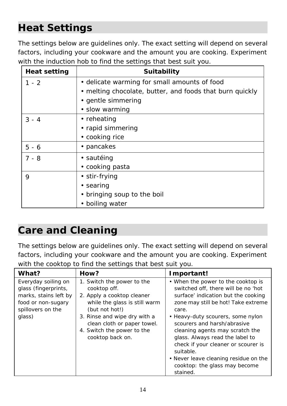# **Heat Settings**

The settings below are guidelines only. The exact setting will depend on several factors, including your cookware and the amount you are cooking. Experiment with the induction hob to find the settings that best suit you.

| <b>Heat setting</b> | <b>Suitability</b>                                       |
|---------------------|----------------------------------------------------------|
| $1 - 2$             | • delicate warming for small amounts of food             |
|                     | • melting chocolate, butter, and foods that burn quickly |
|                     | • gentle simmering                                       |
|                     | • slow warming                                           |
| $3 - 4$             | • reheating                                              |
|                     | • rapid simmering                                        |
|                     | • cooking rice                                           |
| $5 - 6$             | • pancakes                                               |
| $7 - 8$             | • sautéing                                               |
|                     | • cooking pasta                                          |
| 9                   | • stir-frying                                            |
|                     | • searing                                                |
|                     | • bringing soup to the boil                              |
|                     | boiling water                                            |

## **Care and Cleaning**

The settings below are guidelines only. The exact setting will depend on several factors, including your cookware and the amount you are cooking. Experiment with the cooktop to find the settings that best suit you.

| What?                                                                                                                     | How?                                                                                                                                                                                                                                         | Important!                                                                                                                                                                                                                                                                                                                                                                                                                                           |
|---------------------------------------------------------------------------------------------------------------------------|----------------------------------------------------------------------------------------------------------------------------------------------------------------------------------------------------------------------------------------------|------------------------------------------------------------------------------------------------------------------------------------------------------------------------------------------------------------------------------------------------------------------------------------------------------------------------------------------------------------------------------------------------------------------------------------------------------|
| Everyday soiling on<br>glass (fingerprints,<br>marks, stains left by<br>food or non-sugary<br>spillovers on the<br>glass) | 1. Switch the power to the<br>cooktop off.<br>2. Apply a cooktop cleaner<br>while the glass is still warm<br>(but not hot!)<br>3. Rinse and wipe dry with a<br>clean cloth or paper towel.<br>4. Switch the power to the<br>cooktop back on. | • When the power to the cooktop is<br>switched off, there will be no 'hot<br>surface' indication but the cooking<br>zone may still be hot! Take extreme<br>care.<br>• Heavy-duty scourers, some nylon<br>scourers and harsh/abrasive<br>cleaning agents may scratch the<br>glass. Always read the label to<br>check if your cleaner or scourer is<br>suitable.<br>• Never leave cleaning residue on the<br>cooktop: the glass may become<br>stained. |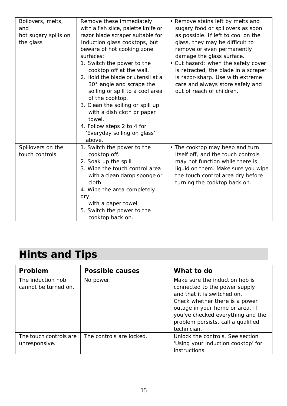| Boilovers, melts,    | Remove these immediately                   | • Remove stains left by melts and    |
|----------------------|--------------------------------------------|--------------------------------------|
| and                  | with a fish slice, palette knife or        | sugary food or spillovers as soon    |
| hot sugary spills on | razor blade scraper suitable for           | as possible. If left to cool on the  |
| the glass            | Induction glass cooktops, but              | glass, they may be difficult to      |
|                      | beware of hot cooking zone                 | remove or even permanently           |
|                      | surfaces:                                  | damage the glass surface.            |
|                      | 1. Switch the power to the                 | • Cut hazard: when the safety cover  |
|                      | cooktop off at the wall.                   | is retracted, the blade in a scraper |
|                      | 2. Hold the blade or utensil at a          | is razor-sharp. Use with extreme     |
|                      | 30° angle and scrape the                   | care and always store safely and     |
|                      | soiling or spill to a cool area            | out of reach of children.            |
|                      | of the cooktop.                            |                                      |
|                      | 3. Clean the soiling or spill up           |                                      |
|                      | with a dish cloth or paper                 |                                      |
|                      | towel.                                     |                                      |
|                      | 4. Follow steps 2 to 4 for                 |                                      |
|                      | 'Everyday soiling on glass'<br>above.      |                                      |
| Spillovers on the    |                                            | • The cooktop may beep and turn      |
| touch controls       | 1. Switch the power to the<br>cooktop off. | itself off, and the touch controls   |
|                      | 2. Soak up the spill                       | may not function while there is      |
|                      | 3. Wipe the touch control area             | liquid on them. Make sure you wipe   |
|                      | with a clean damp sponge or                | the touch control area dry before    |
|                      | cloth.                                     | turning the cooktop back on.         |
|                      | 4. Wipe the area completely                |                                      |
|                      | dry                                        |                                      |
|                      | with a paper towel.                        |                                      |
|                      | 5. Switch the power to the                 |                                      |
|                      | cooktop back on.                           |                                      |

# **Hints and Tips**

| Problem                                   | <b>Possible causes</b>   | What to do                                                                                                                                                                                                                                                    |
|-------------------------------------------|--------------------------|---------------------------------------------------------------------------------------------------------------------------------------------------------------------------------------------------------------------------------------------------------------|
| The induction hob<br>cannot be turned on. | No power.                | Make sure the induction hob is<br>connected to the power supply<br>and that it is switched on.<br>Check whether there is a power<br>outage in your home or area. If<br>you've checked everything and the<br>problem persists, call a qualified<br>technician. |
| The touch controls are<br>unresponsive.   | The controls are locked. | Unlock the controls. See section<br>'Using your induction cooktop' for<br>instructions.                                                                                                                                                                       |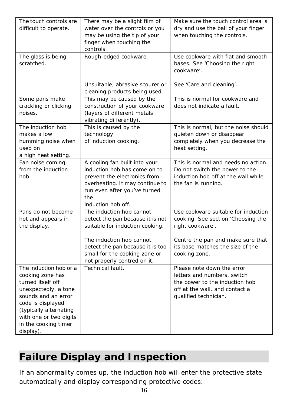| The touch controls are<br>difficult to operate.                                                                                                                                                                              | There may be a slight film of<br>water over the controls or you<br>may be using the tip of your<br>finger when touching the<br>controls.                                                      | Make sure the touch control area is<br>dry and use the ball of your finger<br>when touching the controls.                                              |
|------------------------------------------------------------------------------------------------------------------------------------------------------------------------------------------------------------------------------|-----------------------------------------------------------------------------------------------------------------------------------------------------------------------------------------------|--------------------------------------------------------------------------------------------------------------------------------------------------------|
| The glass is being<br>scratched.                                                                                                                                                                                             | Rough-edged cookware.                                                                                                                                                                         | Use cookware with flat and smooth<br>bases. See 'Choosing the right<br>cookware'.                                                                      |
|                                                                                                                                                                                                                              | Unsuitable, abrasive scourer or<br>cleaning products being used.                                                                                                                              | See 'Care and cleaning'.                                                                                                                               |
| Some pans make<br>crackling or clicking<br>noises.                                                                                                                                                                           | This may be caused by the<br>construction of your cookware<br>(layers of different metals<br>vibrating differently).                                                                          | This is normal for cookware and<br>does not indicate a fault.                                                                                          |
| The induction hob<br>makes a low<br>humming noise when<br>used on<br>a high heat setting.                                                                                                                                    | This is caused by the<br>technology<br>of induction cooking.                                                                                                                                  | This is normal, but the noise should<br>quieten down or disappear<br>completely when you decrease the<br>heat setting.                                 |
| Fan noise coming<br>from the induction<br>hob.                                                                                                                                                                               | A cooling fan built into your<br>induction hob has come on to<br>prevent the electronics from<br>overheating. It may continue to<br>run even after you've turned<br>the<br>induction hob off. | This is normal and needs no action.<br>Do not switch the power to the<br>induction hob off at the wall while<br>the fan is running.                    |
| Pans do not become<br>hot and appears in<br>the display.                                                                                                                                                                     | The induction hob cannot<br>detect the pan because it is not<br>suitable for induction cooking.                                                                                               | Use cookware suitable for induction<br>cooking. See section 'Choosing the<br>right cookware'.                                                          |
|                                                                                                                                                                                                                              | The induction hob cannot<br>detect the pan because it is too<br>small for the cooking zone or<br>not properly centred on it.                                                                  | Centre the pan and make sure that<br>its base matches the size of the<br>cooking zone.                                                                 |
| The induction hob or a<br>cooking zone has<br>turned itself off<br>unexpectedly, a tone<br>sounds and an error<br>code is displayed<br>(typically alternating<br>with one or two digits<br>in the cooking timer<br>display). | Technical fault.                                                                                                                                                                              | Please note down the error<br>letters and numbers, switch<br>the power to the induction hob<br>off at the wall, and contact a<br>qualified technician. |

# **Failure Display and Inspection**

If an abnormality comes up, the induction hob will enter the protective state automatically and display corresponding protective codes: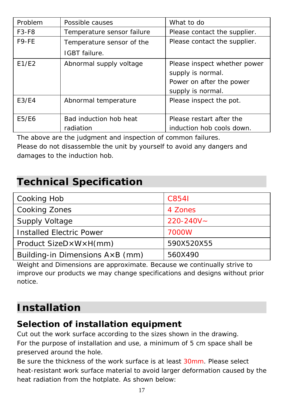| Problem | Possible causes            | What to do                   |
|---------|----------------------------|------------------------------|
| $F3-F8$ | Temperature sensor failure | Please contact the supplier. |
| F9-FE   | Temperature sensor of the  | Please contact the supplier. |
|         | IGBT failure.              |                              |
| E1/E2   | Abnormal supply voltage    | Please inspect whether power |
|         |                            | supply is normal.            |
|         |                            | Power on after the power     |
|         |                            | supply is normal.            |
| E3/E4   | Abnormal temperature       | Please inspect the pot.      |
|         |                            |                              |
| E5/E6   | Bad induction hob heat     | Please restart after the     |
|         | radiation                  | induction hob cools down.    |

The above are the judgment and inspection of common failures. Please do not disassemble the unit by yourself to avoid any dangers and damages to the induction hob.

## **Technical Specification**

| Cooking Hob                              | C8541          |
|------------------------------------------|----------------|
| Cooking Zones                            | 4 Zones        |
| <b>Supply Voltage</b>                    | $220 - 240V -$ |
| <b>Installed Electric Power</b>          | 7000W          |
| Product SizeD×W×H(mm)                    | 590X520X55     |
| Building-in Dimensions $A \times B$ (mm) | 560X490        |

Weight and Dimensions are approximate. Because we continually strive to improve our products we may change specifications and designs without prior notice.

# **Installation**

## **Selection of installation equipment**

Cut out the work surface according to the sizes shown in the drawing. For the purpose of installation and use, a minimum of 5 cm space shall be preserved around the hole.

Be sure the thickness of the work surface is at least 30mm. Please select heat-resistant work surface material to avoid larger deformation caused by the heat radiation from the hotplate. As shown below: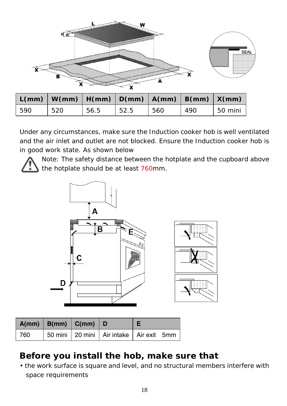

|     | $L(mm)   W(mm)   H(mm)   D(mm)   A(mm)   B(mm)   X(mm)$ |      |       |     |     |         |
|-----|---------------------------------------------------------|------|-------|-----|-----|---------|
| 590 | 520                                                     | 56.5 | 152.5 | 560 | 490 | 50 mini |

Under any circumstances, make sure the Induction cooker hob is well ventilated and the air inlet and outlet are not blocked. Ensure the Induction cooker hob is in good work state. As shown below



Note: The safety distance between the hotplate and the cupboard above the hotplate should be at least 760mm.



|     | $\vert$ A(mm) $\vert$ B(mm) $\vert$ C(mm) $\vert$ D |                                           |  |
|-----|-----------------------------------------------------|-------------------------------------------|--|
| 760 |                                                     | 50 mini 20 mini Air intake   Air exit 5mm |  |

## **Before you install the hob, make sure that**

• the work surface is square and level, and no structural members interfere with space requirements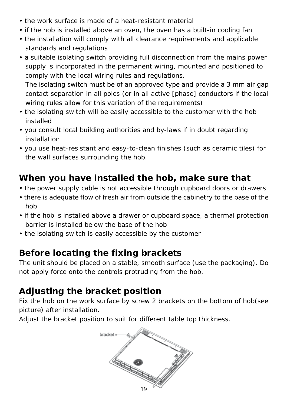- the work surface is made of a heat-resistant material
- if the hob is installed above an oven, the oven has a built-in cooling fan
- the installation will comply with all clearance requirements and applicable standards and regulations
- a suitable isolating switch providing full disconnection from the mains power supply is incorporated in the permanent wiring, mounted and positioned to comply with the local wiring rules and regulations. The isolating switch must be of an approved type and provide a 3 mm air gap
- contact separation in all poles (or in all active [phase] conductors if the local wiring rules allow for this variation of the requirements)
- the isolating switch will be easily accessible to the customer with the hob installed
- you consult local building authorities and by-laws if in doubt regarding installation
- you use heat-resistant and easy-to-clean finishes (such as ceramic tiles) for the wall surfaces surrounding the hob.

## **When you have installed the hob, make sure that**

- the power supply cable is not accessible through cupboard doors or drawers
- there is adequate flow of fresh air from outside the cabinetry to the base of the hob
- if the hob is installed above a drawer or cupboard space, a thermal protection barrier is installed below the base of the hob
- the isolating switch is easily accessible by the customer

## **Before locating the fixing brackets**

The unit should be placed on a stable, smooth surface (use the packaging). Do not apply force onto the controls protruding from the hob.

## **Adjusting the bracket position**

Fix the hob on the work surface by screw 2 brackets on the bottom of hob(see picture) after installation.

Adjust the bracket position to suit for different table top thickness.

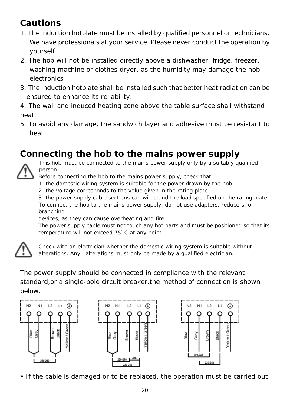## **Cautions**

- 1. The induction hotplate must be installed by qualified personnel or technicians. We have professionals at your service. Please never conduct the operation by yourself.
- 2. The hob will not be installed directly above a dishwasher, fridge, freezer, washing machine or clothes dryer, as the humidity may damage the hob electronics
- 3. The induction hotplate shall be installed such that better heat radiation can be ensured to enhance its reliability.

4. The wall and induced heating zone above the table surface shall withstand heat.

5. To avoid any damage, the sandwich layer and adhesive must be resistant to heat.

## **Connecting the hob to the mains power supply**



This hob must be connected to the mains power supply only by a suitably qualified person.

Before connecting the hob to the mains power supply, check that:

1. the domestic wiring system is suitable for the power drawn by the hob.

2. the voltage corresponds to the value given in the rating plate

3. the power supply cable sections can withstand the load specified on the rating plate. To connect the hob to the mains power supply, do not use adapters, reducers, or branching

devices, as they can cause overheating and fire.

The power supply cable must not touch any hot parts and must be positioned so that its temperature will not exceed 75˚C at any point.



Check with an electrician whether the domestic wiring system is suitable without alterations. Any alterations must only be made by a qualified electrician.

The power supply should be connected in compliance with the relevant standard,or a single-pole circuit breaker.the method of connection is shown below.







• If the cable is damaged or to be replaced, the operation must be carried out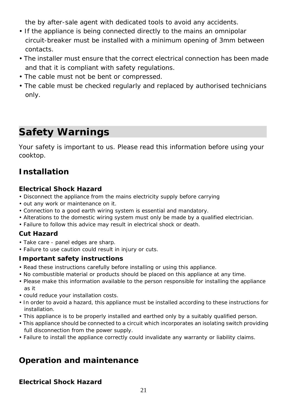the by after-sale agent with dedicated tools to avoid any accidents.

- If the appliance is being connected directly to the mains an omnipolar circuit-breaker must be installed with a minimum opening of 3mm between contacts.
- The installer must ensure that the correct electrical connection has been made and that it is compliant with safety regulations.
- The cable must not be bent or compressed.
- The cable must be checked regularly and replaced by authorised technicians only.

# **Safety Warnings**

Your safety is important to us. Please read this information before using your cooktop.

## **Installation**

#### **Electrical Shock Hazard**

- Disconnect the appliance from the mains electricity supply before carrying
- out any work or maintenance on it.
- Connection to a good earth wiring system is essential and mandatory.
- Alterations to the domestic wiring system must only be made by a qualified electrician.
- Failure to follow this advice may result in electrical shock or death.

#### **Cut Hazard**

- Take care panel edges are sharp.
- Failure to use caution could result in injury or cuts.

#### **Important safety instructions**

- Read these instructions carefully before installing or using this appliance.
- No combustible material or products should be placed on this appliance at any time.
- Please make this information available to the person responsible for installing the appliance as it
- could reduce your installation costs.
- In order to avoid a hazard, this appliance must be installed according to these instructions for installation.
- This appliance is to be properly installed and earthed only by a suitably qualified person.
- This appliance should be connected to a circuit which incorporates an isolating switch providing full disconnection from the power supply.
- Failure to install the appliance correctly could invalidate any warranty or liability claims.

## **Operation and maintenance**

#### **Electrical Shock Hazard**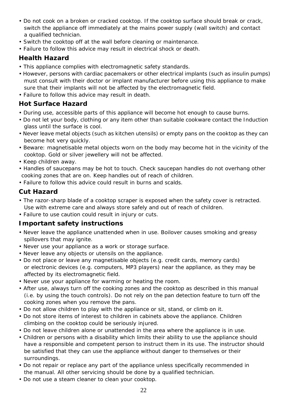- Do not cook on a broken or cracked cooktop. If the cooktop surface should break or crack, switch the appliance off immediately at the mains power supply (wall switch) and contact a qualified technician.
- Switch the cooktop off at the wall before cleaning or maintenance.
- Failure to follow this advice may result in electrical shock or death.

#### **Health Hazard**

- This appliance complies with electromagnetic safety standards.
- However, persons with cardiac pacemakers or other electrical implants (such as insulin pumps) must consult with their doctor or implant manufacturer before using this appliance to make sure that their implants will not be affected by the electromagnetic field.
- Failure to follow this advice may result in death.

#### **Hot Surface Hazard**

- During use, accessible parts of this appliance will become hot enough to cause burns.
- Do not let your body, clothing or any item other than suitable cookware contact the Induction glass until the surface is cool.
- Never leave metal objects (such as kitchen utensils) or empty pans on the cooktop as they can become hot very quickly.
- Beware: magnetisable metal objects worn on the body may become hot in the vicinity of the cooktop. Gold or silver jewellery will not be affected.
- Keep children away.
- Handles of saucepans may be hot to touch. Check saucepan handles do not overhang other cooking zones that are on. Keep handles out of reach of children.
- Failure to follow this advice could result in burns and scalds.

#### **Cut Hazard**

- The razor-sharp blade of a cooktop scraper is exposed when the safety cover is retracted. Use with extreme care and always store safely and out of reach of children.
- Failure to use caution could result in injury or cuts.

#### **Important safety instructions**

- Never leave the appliance unattended when in use. Boilover causes smoking and greasy spillovers that may ignite.
- Never use your appliance as a work or storage surface.
- Never leave any objects or utensils on the appliance.
- Do not place or leave any magnetisable objects (e.g. credit cards, memory cards) or electronic devices (e.g. computers, MP3 players) near the appliance, as they may be affected by its electromagnetic field.
- Never use your appliance for warming or heating the room.
- After use, always turn off the cooking zones and the cooktop as described in this manual (i.e. by using the touch controls). Do not rely on the pan detection feature to turn off the cooking zones when you remove the pans.
- Do not allow children to play with the appliance or sit, stand, or climb on it.
- Do not store items of interest to children in cabinets above the appliance. Children climbing on the cooktop could be seriously injured.
- Do not leave children alone or unattended in the area where the appliance is in use.
- Children or persons with a disability which limits their ability to use the appliance should have a responsible and competent person to instruct them in its use. The instructor should be satisfied that they can use the appliance without danger to themselves or their surroundings.
- Do not repair or replace any part of the appliance unless specifically recommended in the manual. All other servicing should be done by a qualified technician.
- Do not use a steam cleaner to clean your cooktop.